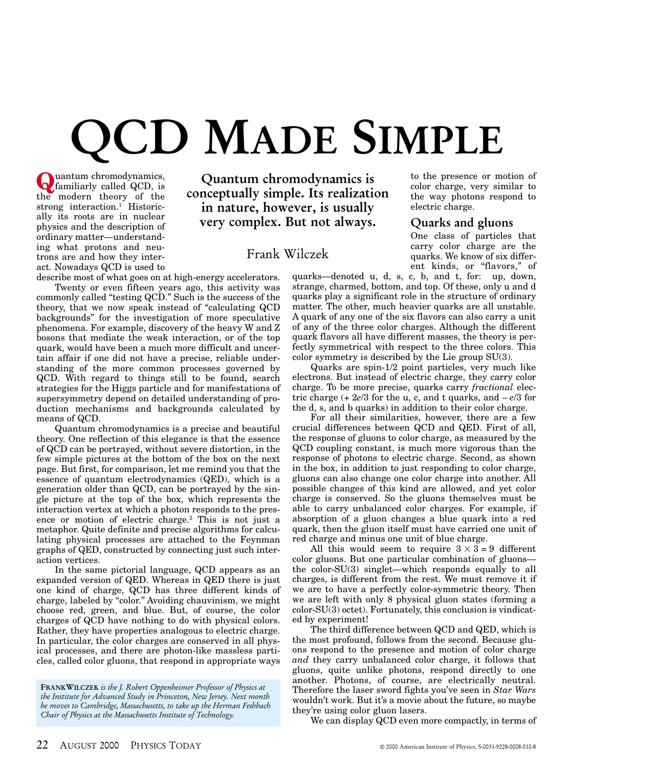# **CD MADE SIMPLE**

**Q**uantum chromodynamics, familiarly called QCD, is the modern theory of the strong interaction.<sup>1</sup> Historically its roots are in nuclear physics and the description of ordinary matter—understanding what protons and neutrons are and how they interact. Nowadays QCD is used to

Quantum chromodynamics is conceptually simple. Its realization in nature, however, is usually very complex. But not always.

# Frank Wilczek

describe most of what goes on at high-energy accelerators. Twenty or even fifteen years ago, this activity was commonly called "testing QCD." Such is the success of the theory, that we now speak instead of "calculating QCD backgrounds" for the investigation of more speculative phenomena. For example, discovery of the heavy W and Z bosons that mediate the weak interaction, or of the top quark, would have been a much more difficult and uncertain affair if one did not have a precise, reliable understanding of the more common processes governed by QCD. With regard to things still to be found, search strategies for the Higgs particle and for manifestations of supersymmetry depend on detailed understanding of production mechanisms and backgrounds calculated by means of QCD.

Quantum chromodynamics is a precise and beautiful theory. One reflection of this elegance is that the essence of QCD can be portrayed, without severe distortion, in the few simple pictures at the bottom of the box on the next page. But first, for comparison, let me remind you that the essence of quantum electrodynamics (QED), which is a generation older than QCD, can be portrayed by the single picture at the top of the box, which represents the interaction vertex at which a photon responds to the presence or motion of electric charge.2 This is not just a metaphor. Quite definite and precise algorithms for calculating physical processes are attached to the Feynman graphs of QED, constructed by connecting just such interaction vertices.

In the same pictorial language, QCD appears as an expanded version of QED. Whereas in QED there is just one kind of charge, QCD has three different kinds of charge, labeled by "color." Avoiding chauvinism, we might choose red, green, and blue. But, of course, the color charges of QCD have nothing to do with physical colors. Rather, they have properties analogous to electric charge. In particular, the color charges are conserved in all physical processes, and there are photon-like massless particles, called color gluons, that respond in appropriate ways

to the presence or motion of color charge, very similar to the way photons respond to electric charge.

#### Quarks and gluons

One class of particles that carry color charge are the quarks. We know of six different kinds, or "flavors," of

quarks—denoted u, d, s, c, b, and t, for: up, down, strange, charmed, bottom, and top. Of these, only u and d quarks play a significant role in the structure of ordinary matter. The other, much heavier quarks are all unstable. A quark of any one of the six flavors can also carry a unit of any of the three color charges. Although the different quark flavors all have different masses, the theory is perfectly symmetrical with respect to the three colors. This color symmetry is described by the Lie group SU(3).

Quarks are spin-1/2 point particles, very much like electrons. But instead of electric charge, they carry color charge. To be more precise, quarks carry *fractional* electric charge  $(+ 2e/3$  for the u, c, and t quarks, and  $-e/3$  for the d, s, and b quarks) in addition to their color charge.

For all their similarities, however, there are a few crucial differences between QCD and QED. First of all, the response of gluons to color charge, as measured by the QCD coupling constant, is much more vigorous than the response of photons to electric charge. Second, as shown in the box, in addition to just responding to color charge, gluons can also change one color charge into another. All possible changes of this kind are allowed, and yet color charge is conserved. So the gluons themselves must be able to carry unbalanced color charges. For example, if absorption of a gluon changes a blue quark into a red quark, then the gluon itself must have carried one unit of red charge and minus one unit of blue charge.

All this would seem to require  $3 \times 3 = 9$  different color gluons. But one particular combination of gluons the color-SU(3) singlet—which responds equally to all charges, is different from the rest. We must remove it if we are to have a perfectly color-symmetric theory. Then we are left with only 8 physical gluon states (forming a color-SU(3) octet). Fortunately, this conclusion is vindicated by experiment!

The third difference between QCD and QED, which is the most profound, follows from the second. Because gluons respond to the presence and motion of color charge *and* they carry unbalanced color charge, it follows that gluons, quite unlike photons, respond directly to one another. Photons, of course, are electrically neutral. Therefore the laser sword fights you've seen in *Star Wars* wouldn't work. But it's a movie about the future, so maybe they're using color gluon lasers.

We can display QCD even more compactly, in terms of

FRANKWILCZEK is the J. Robert Oppenheimer Professor of Physics at the Institute for Advanced Study in Princeton, New Jersey. Next month he moves to Cambridge, Massachusetts, to take up the Herman Feshbach Chair of Physics at the Massachusetts Institute of Technology.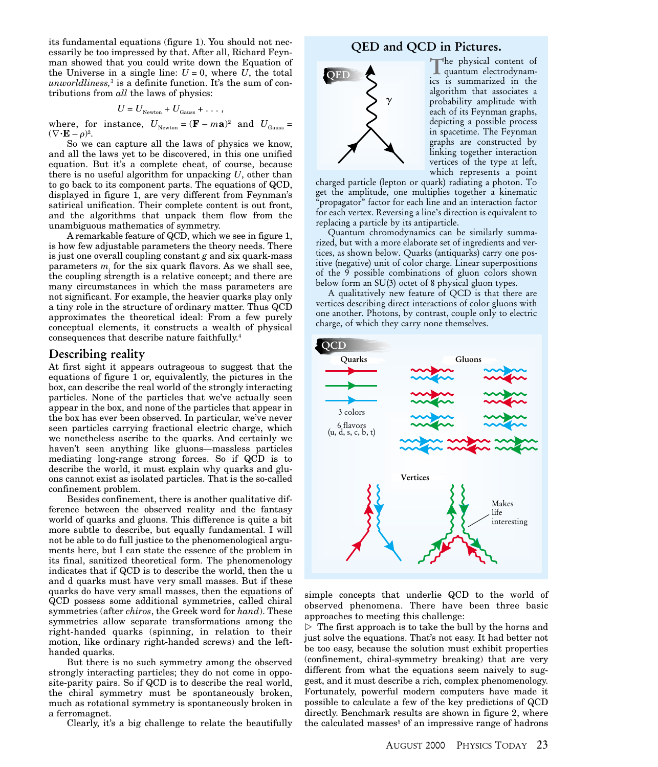its fundamental equations (figure 1). You should not necessarily be too impressed by that. After all, Richard Feynman showed that you could write down the Equation of the Universe in a single line:  $U = 0$ , where *U*, the total *unworldliness,*<sup>3</sup> is a definite function. It's the sum of contributions from *all* the laws of physics:

$$
U = U_{\text{Newton}} + U_{\text{Gauss}} + \dots,
$$

where, for instance,  $U_{\text{Newton}} = (\mathbf{F} - m\mathbf{a})^2$  and  $U_{\text{Gauss}} =$  $(\nabla \cdot \mathbf{E} - \rho)^2$ .

So we can capture all the laws of physics we know, and all the laws yet to be discovered, in this one unified equation. But it's a complete cheat, of course, because there is no useful algorithm for unpacking *U*, other than to go back to its component parts. The equations of QCD, displayed in figure 1, are very different from Feynman's satirical unification. Their complete content is out front, and the algorithms that unpack them flow from the unambiguous mathematics of symmetry.

A remarkable feature of QCD, which we see in figure 1, is how few adjustable parameters the theory needs. There is just one overall coupling constant *g* and six quark-mass parameters  $m_i$  for the six quark flavors. As we shall see, the coupling strength is a relative concept; and there are many circumstances in which the mass parameters are not significant. For example, the heavier quarks play only a tiny role in the structure of ordinary matter. Thus QCD approximates the theoretical ideal: From a few purely conceptual elements, it constructs a wealth of physical consequences that describe nature faithfully.4

## Describing reality

At first sight it appears outrageous to suggest that the equations of figure 1 or, equivalently, the pictures in the box, can describe the real world of the strongly interacting particles. None of the particles that we've actually seen appear in the box, and none of the particles that appear in the box has ever been observed. In particular, we've never seen particles carrying fractional electric charge, which we nonetheless ascribe to the quarks. And certainly we haven't seen anything like gluons—massless particles mediating long-range strong forces. So if QCD is to describe the world, it must explain why quarks and gluons cannot exist as isolated particles. That is the so-called confinement problem.

Besides confinement, there is another qualitative difference between the observed reality and the fantasy world of quarks and gluons. This difference is quite a bit more subtle to describe, but equally fundamental. I will not be able to do full justice to the phenomenological arguments here, but I can state the essence of the problem in its final, sanitized theoretical form. The phenomenology indicates that if QCD is to describe the world, then the u and d quarks must have very small masses. But if these quarks do have very small masses, then the equations of QCD possess some additional symmetries, called chiral symmetries (after *chiros*, the Greek word for *hand*). These symmetries allow separate transformations among the right-handed quarks (spinning, in relation to their motion, like ordinary right-handed screws) and the lefthanded quarks.

But there is no such symmetry among the observed strongly interacting particles; they do not come in opposite-parity pairs. So if QCD is to describe the real world, the chiral symmetry must be spontaneously broken, much as rotational symmetry is spontaneously broken in a ferromagnet.

Clearly, it's a big challenge to relate the beautifully

# QED and QCD in Pictures.



The physical content of quantum electrodynamics is summarized in the algorithm that associates a probability amplitude with each of its Feynman graphs, depicting a possible process in spacetime. The Feynman graphs are constructed by linking together interaction vertices of the type at left, which represents a point

charged particle (lepton or quark) radiating a photon. To get the amplitude, one multiplies together a kinematic "propagator" factor for each line and an interaction factor for each vertex. Reversing a line's direction is equivalent to replacing a particle by its antiparticle.

Quantum chromodynamics can be similarly summarized, but with a more elaborate set of ingredients and vertices, as shown below. Quarks (antiquarks) carry one positive (negative) unit of color charge. Linear superpositions of the 9 possible combinations of gluon colors shown below form an SU(3) octet of 8 physical gluon types.

A qualitatively new feature of QCD is that there are vertices describing direct interactions of color gluons with one another. Photons, by contrast, couple only to electric charge, of which they carry none themselves.



simple concepts that underlie QCD to the world of observed phenomena. There have been three basic approaches to meeting this challenge:

 $\triangleright$  The first approach is to take the bull by the horns and just solve the equations. That's not easy. It had better not be too easy, because the solution must exhibit properties (confinement, chiral-symmetry breaking) that are very different from what the equations seem naively to suggest, and it must describe a rich, complex phenomenology. Fortunately, powerful modern computers have made it possible to calculate a few of the key predictions of QCD directly. Benchmark results are shown in figure 2, where the calculated masses<sup>5</sup> of an impressive range of hadrons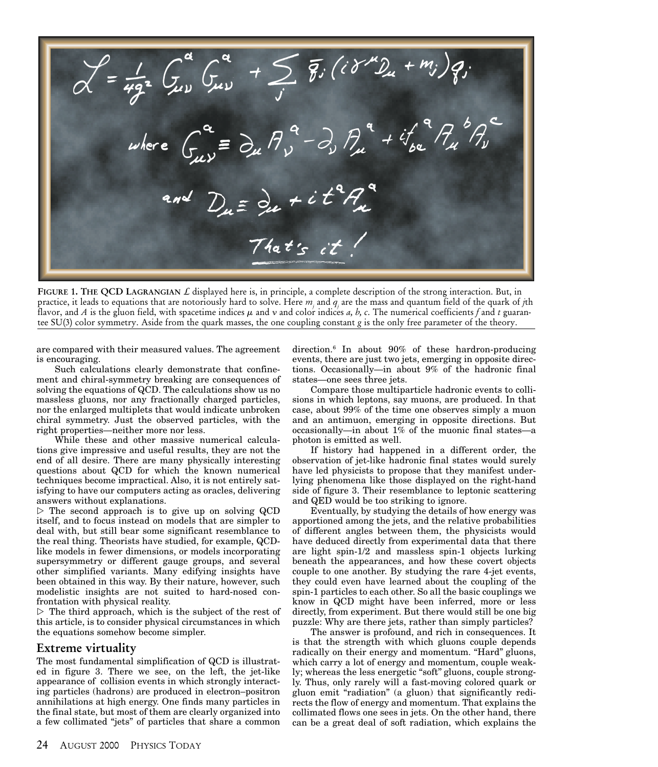$\alpha = \frac{1}{4g^{2}} \int_{\mu\nu}^{\alpha} \int_{\mu\nu}^{\alpha} + \sum_{j} \overline{g}_{j} (i\delta^{\mu}D_{\mu} + n)$  $G_{\mu\nu}^{\alpha} \equiv \partial_{\mu} H_{\nu}^{\alpha} - \partial_{\nu} H_{\mu}^{\alpha} + i f_{\rho\alpha}^{\alpha} H_{\mu}$  $D_{\mu} = \partial_{\mu} + i t^4 A_{\mu}$ That's it

FIGURE 1. THE QCD LAGRANGIAN  $\mathcal L$  displayed here is, in principle, a complete description of the strong interaction. But, in practice, it leads to equations that are notoriously hard to solve. Here  $m_i$  and  $q_i$  are the mass and quantum field of the quark of jth flavor, and A is the gluon field, with spacetime indices  $\mu$  and v and color indices a, b, c. The numerical coefficients f and t guarantee SU(3) color symmetry. Aside from the quark masses, the one coupling constant g is the only free parameter of the theory.

are compared with their measured values. The agreement is encouraging.

Such calculations clearly demonstrate that confinement and chiral-symmetry breaking are consequences of solving the equations of QCD. The calculations show us no massless gluons, nor any fractionally charged particles, nor the enlarged multiplets that would indicate unbroken chiral symmetry. Just the observed particles, with the right properties—neither more nor less.

While these and other massive numerical calculations give impressive and useful results, they are not the end of all desire. There are many physically interesting questions about QCD for which the known numerical techniques become impractical. Also, it is not entirely satisfying to have our computers acting as oracles, delivering answers without explanations.

 $\triangleright$  The second approach is to give up on solving QCD itself, and to focus instead on models that are simpler to deal with, but still bear some significant resemblance to the real thing. Theorists have studied, for example, QCDlike models in fewer dimensions, or models incorporating supersymmetry or different gauge groups, and several other simplified variants. Many edifying insights have been obtained in this way. By their nature, however, such modelistic insights are not suited to hard-nosed confrontation with physical reality.

 $\triangleright$  The third approach, which is the subject of the rest of this article, is to consider physical circumstances in which the equations somehow become simpler.

#### Extreme virtuality

The most fundamental simplification of QCD is illustrated in figure 3. There we see, on the left, the jet-like appearance of collision events in which strongly interacting particles (hadrons) are produced in electron–positron annihilations at high energy. One finds many particles in the final state, but most of them are clearly organized into a few collimated "jets" of particles that share a common direction.6 In about 90% of these hardron-producing events, there are just two jets, emerging in opposite directions. Occasionally—in about 9% of the hadronic final states—one sees three jets.

Compare those multiparticle hadronic events to collisions in which leptons, say muons, are produced. In that case, about 99% of the time one observes simply a muon and an antimuon, emerging in opposite directions. But occasionally—in about 1% of the muonic final states—a photon is emitted as well.

If history had happened in a different order, the observation of jet-like hadronic final states would surely have led physicists to propose that they manifest underlying phenomena like those displayed on the right-hand side of figure 3. Their resemblance to leptonic scattering and QED would be too striking to ignore.

Eventually, by studying the details of how energy was apportioned among the jets, and the relative probabilities of different angles between them, the physicists would have deduced directly from experimental data that there are light spin-1/2 and massless spin-1 objects lurking beneath the appearances, and how these covert objects couple to one another. By studying the rare 4-jet events, they could even have learned about the coupling of the spin-1 particles to each other. So all the basic couplings we know in QCD might have been inferred, more or less directly, from experiment. But there would still be one big puzzle: Why are there jets, rather than simply particles?

The answer is profound, and rich in consequences. It is that the strength with which gluons couple depends radically on their energy and momentum. "Hard'' gluons, which carry a lot of energy and momentum, couple weakly; whereas the less energetic "soft'' gluons, couple strongly. Thus, only rarely will a fast-moving colored quark or gluon emit "radiation" (a gluon) that significantly redirects the flow of energy and momentum. That explains the collimated flows one sees in jets. On the other hand, there can be a great deal of soft radiation, which explains the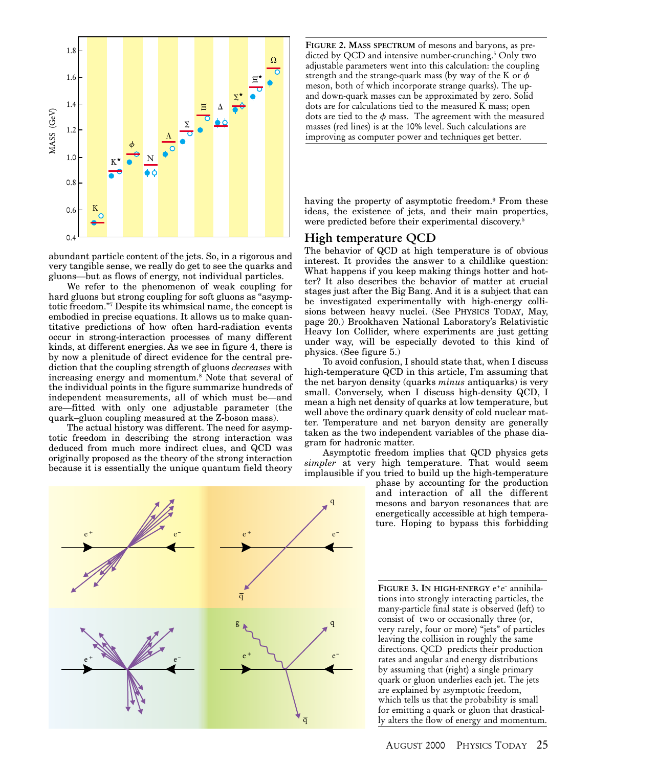

abundant particle content of the jets. So, in a rigorous and very tangible sense, we really do get to see the quarks and gluons—but as flows of energy, not individual particles.

We refer to the phenomenon of weak coupling for hard gluons but strong coupling for soft gluons as "asymptotic freedom."7 Despite its whimsical name, the concept is embodied in precise equations. It allows us to make quantitative predictions of how often hard-radiation events occur in strong-interaction processes of many different kinds, at different energies. As we see in figure 4, there is by now a plenitude of direct evidence for the central prediction that the coupling strength of gluons *decreases* with increasing energy and momentum.8 Note that several of the individual points in the figure summarize hundreds of independent measurements, all of which must be—and are—fitted with only one adjustable parameter (the quark–gluon coupling measured at the Z-boson mass).

The actual history was different. The need for asymptotic freedom in describing the strong interaction was deduced from much more indirect clues, and QCD was originally proposed as the theory of the strong interaction because it is essentially the unique quantum field theory



FIGURE 2. MASS SPECTRUM of mesons and baryons, as predicted by QCD and intensive number-crunching.<sup>5</sup> Only two adjustable parameters went into this calculation: the coupling strength and the strange-quark mass (by way of the K or  $\phi$ meson, both of which incorporate strange quarks). The upand down-quark masses can be approximated by zero. Solid dots are for calculations tied to the measured K mass; open dots are tied to the  $\phi$  mass. The agreement with the measured masses (red lines) is at the 10% level. Such calculations are improving as computer power and techniques get better.

having the property of asymptotic freedom.<sup>9</sup> From these ideas, the existence of jets, and their main properties, were predicted before their experimental discovery.<sup>5</sup>

#### High temperature QCD

The behavior of QCD at high temperature is of obvious interest. It provides the answer to a childlike question: What happens if you keep making things hotter and hotter? It also describes the behavior of matter at crucial stages just after the Big Bang. And it is a subject that can be investigated experimentally with high-energy collisions between heavy nuclei. (See PHYSICS TODAY, May, page 20.) Brookhaven National Laboratory's Relativistic Heavy Ion Collider, where experiments are just getting under way, will be especially devoted to this kind of physics. (See figure 5.)

To avoid confusion, I should state that, when I discuss high-temperature QCD in this article, I'm assuming that the net baryon density (quarks *minus* antiquarks) is very small. Conversely, when I discuss high-density QCD, I mean a high net density of quarks at low temperature, but well above the ordinary quark density of cold nuclear matter. Temperature and net baryon density are generally taken as the two independent variables of the phase diagram for hadronic matter.

Asymptotic freedom implies that QCD physics gets *simpler* at very high temperature. That would seem implausible if you tried to build up the high-temperature

> phase by accounting for the production and interaction of all the different mesons and baryon resonances that are energetically accessible at high temperature. Hoping to bypass this forbidding

FIGURE 3. IN HIGH-ENERGY e<sup>+</sup>e<sup>-</sup> annihilations into strongly interacting particles, the many-particle final state is observed (left) to consist of two or occasionally three (or, very rarely, four or more) "jets" of particles leaving the collision in roughly the same directions. QCD predicts their production rates and angular and energy distributions by assuming that (right) a single primary quark or gluon underlies each jet. The jets are explained by asymptotic freedom, which tells us that the probability is small for emitting a quark or gluon that drastically alters the flow of energy and momentum.

AUGUST 2000 PHYSICS TODAY 25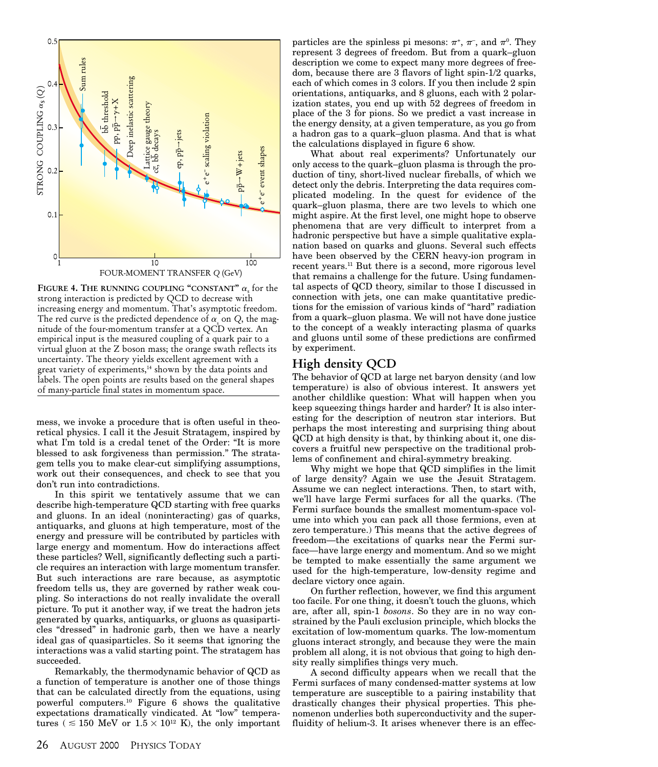

FIGURE 4. THE RUNNING COUPLING "CONSTANT"  $\alpha$  for the strong interaction is predicted by QCD to decrease with increasing energy and momentum. That's asymptotic freedom. The red curve is the predicted dependence of  $\alpha$  on Q, the magnitude of the four-momentum transfer at a QCD vertex. An empirical input is the measured coupling of a quark pair to a virtual gluon at the Z boson mass; the orange swath reflects its uncertainty. The theory yields excellent agreement with a great variety of experiments,<sup>14</sup> shown by the data points and labels. The open points are results based on the general shapes of many-particle final states in momentum space.

mess, we invoke a procedure that is often useful in theoretical physics. I call it the Jesuit Stratagem, inspired by what I'm told is a credal tenet of the Order: "It is more blessed to ask forgiveness than permission.'' The stratagem tells you to make clear-cut simplifying assumptions, work out their consequences, and check to see that you don't run into contradictions.

In this spirit we tentatively assume that we can describe high-temperature QCD starting with free quarks and gluons. In an ideal (noninteracting) gas of quarks, antiquarks, and gluons at high temperature, most of the energy and pressure will be contributed by particles with large energy and momentum. How do interactions affect these particles? Well, significantly deflecting such a particle requires an interaction with large momentum transfer. But such interactions are rare because, as asymptotic freedom tells us, they are governed by rather weak coupling. So interactions do not really invalidate the overall picture. To put it another way, if we treat the hadron jets generated by quarks, antiquarks, or gluons as quasiparticles "dressed" in hadronic garb, then we have a nearly ideal gas of quasiparticles. So it seems that ignoring the interactions was a valid starting point. The stratagem has succeeded.

Remarkably, the thermodynamic behavior of QCD as a function of temperature is another one of those things that can be calculated directly from the equations, using powerful computers.10 Figure 6 shows the qualitative expectations dramatically vindicated. At "low" temperatures ( $\leq 150$  MeV or  $1.5 \times 10^{12}$  K), the only important

particles are the spinless pi mesons:  $\pi^*$ ,  $\pi^-$ , and  $\pi^0$ . They represent 3 degrees of freedom. But from a quark–gluon description we come to expect many more degrees of freedom, because there are 3 flavors of light spin-1/2 quarks, each of which comes in 3 colors. If you then include 2 spin orientations, antiquarks, and 8 gluons, each with 2 polarization states, you end up with 52 degrees of freedom in place of the 3 for pions. So we predict a vast increase in the energy density, at a given temperature, as you go from a hadron gas to a quark–gluon plasma. And that is what the calculations displayed in figure 6 show.

What about real experiments? Unfortunately our only access to the quark–gluon plasma is through the production of tiny, short-lived nuclear fireballs, of which we detect only the debris. Interpreting the data requires complicated modeling. In the quest for evidence of the quark–gluon plasma, there are two levels to which one might aspire. At the first level, one might hope to observe phenomena that are very difficult to interpret from a hadronic perspective but have a simple qualitative explanation based on quarks and gluons. Several such effects have been observed by the CERN heavy-ion program in recent years.11 But there is a second, more rigorous level that remains a challenge for the future. Using fundamental aspects of QCD theory, similar to those I discussed in connection with jets, one can make quantitative predictions for the emission of various kinds of "hard" radiation from a quark–gluon plasma. We will not have done justice to the concept of a weakly interacting plasma of quarks and gluons until some of these predictions are confirmed by experiment.

# High density QCD

The behavior of QCD at large net baryon density (and low temperature) is also of obvious interest. It answers yet another childlike question: What will happen when you keep squeezing things harder and harder? It is also interesting for the description of neutron star interiors. But perhaps the most interesting and surprising thing about QCD at high density is that, by thinking about it, one discovers a fruitful new perspective on the traditional problems of confinement and chiral-symmetry breaking.

Why might we hope that QCD simplifies in the limit of large density? Again we use the Jesuit Stratagem. Assume we can neglect interactions. Then, to start with, we'll have large Fermi surfaces for all the quarks. (The Fermi surface bounds the smallest momentum-space volume into which you can pack all those fermions, even at zero temperature.) This means that the active degrees of freedom—the excitations of quarks near the Fermi surface—have large energy and momentum. And so we might be tempted to make essentially the same argument we used for the high-temperature, low-density regime and declare victory once again.

On further reflection, however, we find this argument too facile. For one thing, it doesn't touch the gluons, which are, after all, spin-1 *bosons*. So they are in no way constrained by the Pauli exclusion principle, which blocks the excitation of low-momentum quarks. The low-momentum gluons interact strongly, and because they were the main problem all along, it is not obvious that going to high density really simplifies things very much.

A second difficulty appears when we recall that the Fermi surfaces of many condensed-matter systems at low temperature are susceptible to a pairing instability that drastically changes their physical properties. This phenomenon underlies both superconductivity and the superfluidity of helium-3. It arises whenever there is an effec-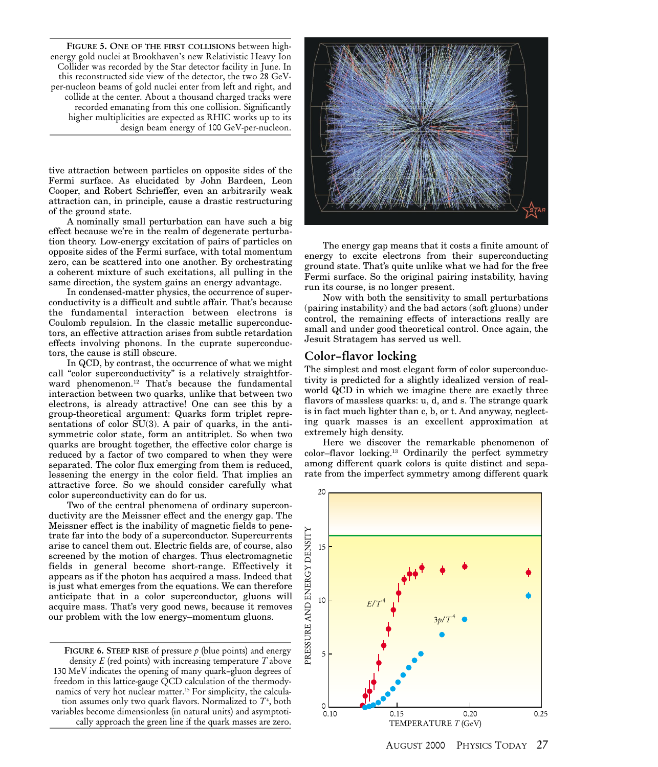FIGURE 5. ONE OF THE FIRST COLLISIONS between highenergy gold nuclei at Brookhaven's new Relativistic Heavy Ion Collider was recorded by the Star detector facility in June. In this reconstructed side view of the detector, the two 28 GeVper-nucleon beams of gold nuclei enter from left and right, and collide at the center. About a thousand charged tracks were recorded emanating from this one collision. Significantly higher multiplicities are expected as RHIC works up to its design beam energy of 100 GeV-per-nucleon.

tive attraction between particles on opposite sides of the Fermi surface. As elucidated by John Bardeen, Leon Cooper, and Robert Schrieffer, even an arbitrarily weak attraction can, in principle, cause a drastic restructuring of the ground state.

A nominally small perturbation can have such a big effect because we're in the realm of degenerate perturbation theory. Low-energy excitation of pairs of particles on opposite sides of the Fermi surface, with total momentum zero, can be scattered into one another. By orchestrating a coherent mixture of such excitations, all pulling in the same direction, the system gains an energy advantage.

In condensed-matter physics, the occurrence of superconductivity is a difficult and subtle affair. That's because the fundamental interaction between electrons is Coulomb repulsion. In the classic metallic superconductors, an effective attraction arises from subtle retardation effects involving phonons. In the cuprate superconductors, the cause is still obscure.

In QCD, by contrast, the occurrence of what we might call "color superconductivity" is a relatively straightforward phenomenon.<sup>12</sup> That's because the fundamental interaction between two quarks, unlike that between two electrons, is already attractive! One can see this by a group-theoretical argument: Quarks form triplet representations of color SU(3). A pair of quarks, in the antisymmetric color state, form an antitriplet. So when two quarks are brought together, the effective color charge is reduced by a factor of two compared to when they were separated. The color flux emerging from them is reduced, lessening the energy in the color field. That implies an attractive force. So we should consider carefully what color superconductivity can do for us.

Two of the central phenomena of ordinary superconductivity are the Meissner effect and the energy gap. The Meissner effect is the inability of magnetic fields to penetrate far into the body of a superconductor. Supercurrents arise to cancel them out. Electric fields are, of course, also screened by the motion of charges. Thus electromagnetic fields in general become short-range. Effectively it appears as if the photon has acquired a mass. Indeed that is just what emerges from the equations. We can therefore anticipate that in a color superconductor, gluons will acquire mass. That's very good news, because it removes our problem with the low energy–momentum gluons.

FIGURE 6. STEEP RISE of pressure  $p$  (blue points) and energy density  $E$  (red points) with increasing temperature  $T$  above 130 MeV indicates the opening of many quark–gluon degrees of freedom in this lattice-gauge QCD calculation of the thermodynamics of very hot nuclear matter.15 For simplicity, the calculation assumes only two quark flavors. Normalized to  $T^\ast$ , both variables become dimensionless (in natural units) and asymptotically approach the green line if the quark masses are zero.



The energy gap means that it costs a finite amount of energy to excite electrons from their superconducting ground state. That's quite unlike what we had for the free Fermi surface. So the original pairing instability, having run its course, is no longer present.

Now with both the sensitivity to small perturbations (pairing instability) and the bad actors (soft gluons) under control, the remaining effects of interactions really are small and under good theoretical control. Once again, the Jesuit Stratagem has served us well.

## Color–flavor locking

The simplest and most elegant form of color superconductivity is predicted for a slightly idealized version of realworld QCD in which we imagine there are exactly three flavors of massless quarks: u, d, and s. The strange quark is in fact much lighter than c, b, or t. And anyway, neglecting quark masses is an excellent approximation at extremely high density.

Here we discover the remarkable phenomenon of color–flavor locking.13 Ordinarily the perfect symmetry among different quark colors is quite distinct and separate from the imperfect symmetry among different quark



AUGUST 2000 PHYSICS TODAY 27